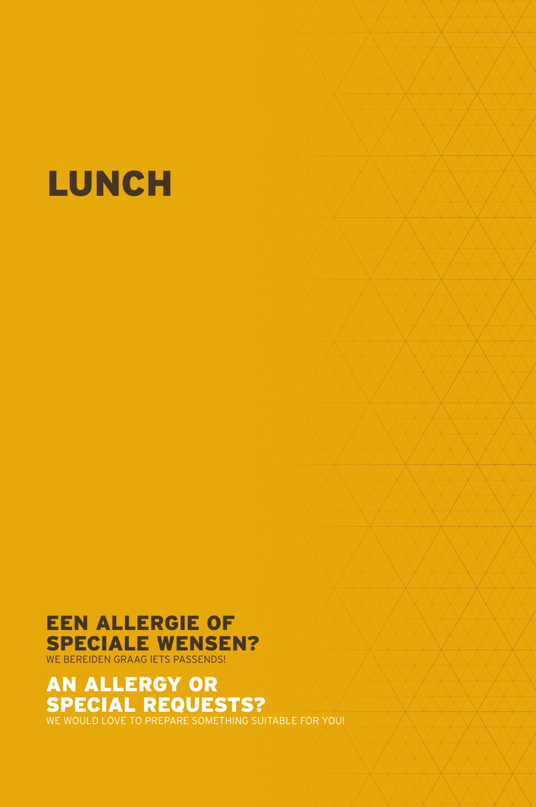

### EEN ALLERGIE OF SPECIALE WENSEN? WE BEREIDEN GRAAG IETS PASSENDS!

### AN ALLERGY OR SPECIAL REQUESTS?

WE WOULD LOVE TO PREPARE SOMETHING SUITABLE FOR YOU!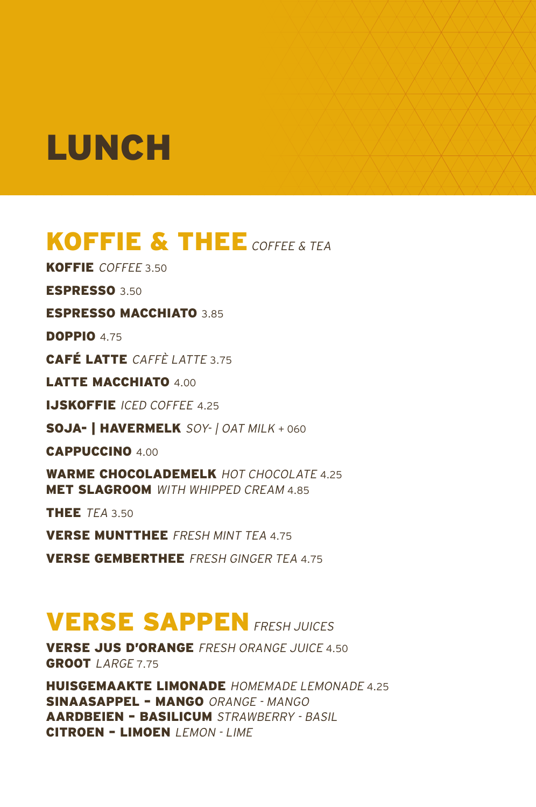### KOFFIE & THEE COFFEE & TEA

KOFFIE COFFEE 3.50

ESPRESSO 3.50

### ESPRESSO MACCHIATO 3.85

**DOPPIO 4.75** 

CAFÉ LATTE CAFFÈ LATTE 3.75

LATTE MACCHIATO 4.00

**IJSKOFFIE** ICED COFFFF 4.25

SOJA- | HAVERMELK SOY- | OAT MILK + 060

CAPPUCCINO 4.00

WARME CHOCOLADEMELK HOT CHOCOLATE 4.25 **MET SLAGROOM** WITH WHIPPED CREAM 4.85

THEE TEA 3.50

VERSE MUNTTHEE FRESH MINT TEA 4.75

VERSE GEMBERTHEE FRESH GINGER TEA 4.75

### **VERSE SAPPEN FRESH JUICES**

VERSE JUS D'ORANGE FRESH ORANGE JUICE 4.50 GROOT LARGE 7.75

HUISGEMAAKTE LIMONADE HOMEMADE LEMONADE 4.25 SINAASAPPEL – MANGO ORANGE - MANGO AARDBEIEN – BASILICUM STRAWBERRY - BASIL CITROEN - LIMOEN | FMON - I IMF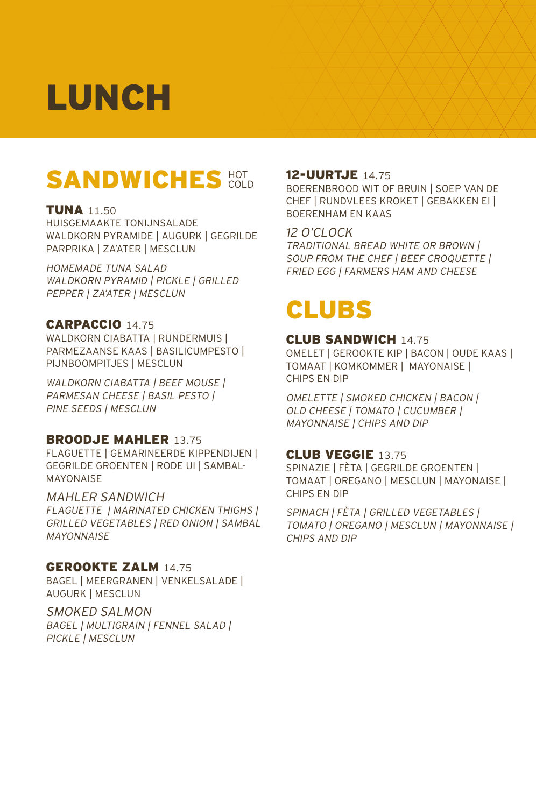### SANDWICHES<sup>HOT</sup>

### TUNA 11.50

HUISGEMAAKTE TONIJNSALADE WALDKORN PYRAMIDE | AUGURK | GEGRILDE PARPRIKA | ZA'ATER | MESCLUN

### HOMEMADE TUNA SALAD WALDKORN PYRAMID | PICKLE | GRILLED

PEPPER | ZA'ATER | MESCLUN

### CARPACCIO 14.75

WALDKORN CIABATTA | RUNDERMUIS | PARMEZAANSE KAAS | BASILICUMPESTO | PIJNBOOMPITJES | MESCLUN

WALDKORN CIABATTA | BEEF MOUSE | PARMESAN CHEESE | BASIL PESTO | PINE SEEDS | MESCLUN

### BROODJE MAHLER 13.75

FLAGUETTE | GEMARINEERDE KIPPENDIJEN | GEGRILDE GROENTEN | RODE UI | SAMBAL-MAYONAISE

### MAHLER SANDWICH

FLAGUETTE | MARINATED CHICKEN THIGHS | GRILLED VEGETABLES | RED ONION | SAMBAL **MAYONNAISF** 

### GEROOKTE ZALM 14.75

BAGEL | MEERGRANEN | VENKELSALADE | AUGURK | MESCLUN

SMOKED SALMON BAGEL | MULTIGRAIN | FENNEL SALAD | PICKLE | MESCLUN

### 12-UURTJE 14.75

BOERENBROOD WIT OF BRUIN | SOEP VAN DE CHEF | RUNDVLEES KROKET | GEBAKKEN EI | BOERENHAM EN KAAS

### 12 O'CLOCK

TRADITIONAL BREAD WHITE OR BROWN | SOUP FROM THE CHEF | BEEF CROQUETTE | FRIED EGG | FARMERS HAM AND CHEESE

## CLUBS

### CLUB SANDWICH 14.75

OMELET | GEROOKTE KIP | BACON | OUDE KAAS | TOMAAT | KOMKOMMER | MAYONAISE | CHIPS EN DIP

OMELETTE | SMOKED CHICKEN | BACON | OLD CHEESE | TOMATO | CUCUMBER | MAYONNAISE | CHIPS AND DIP

### CLUB VEGGIE 13.75

SPINAZIE | FÈTA | GEGRILDE GROENTEN | TOMAAT | OREGANO | MESCLUN | MAYONAISE | CHIPS EN DIP

SPINACH | FÈTA | GRILLED VEGETABLES | TOMATO | OREGANO | MESCLUN | MAYONNAISE | CHIPS AND DIP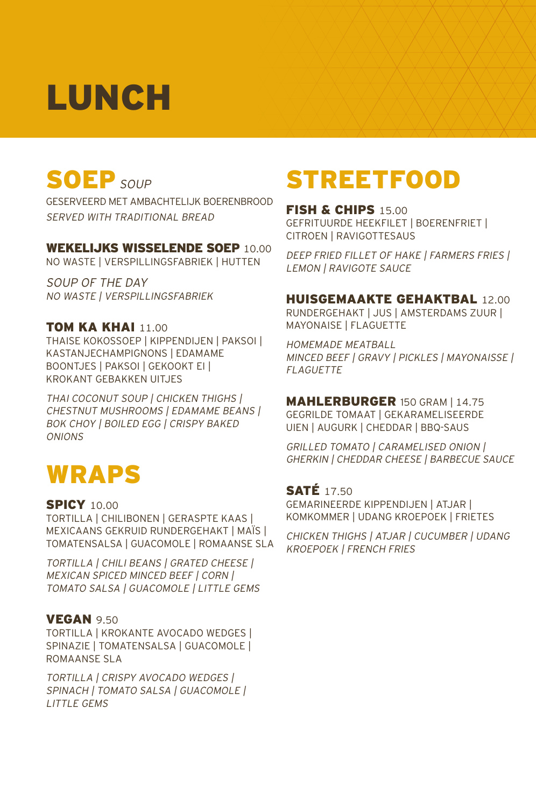## SOEP SOUP

GESERVEERD MET AMBACHTELIJK BOERENBROOD SERVED WITH TRADITIONAL BREAD

### WEKELIJKS WISSELENDE SOEP 10.00

NO WASTE | VERSPILLINGSFABRIEK | HUTTEN

SOUP OF THE DAY NO WASTE | VERSPILLINGSFABRIEK

### TOM KA KHAI 11.00

THAISE KOKOSSOEP | KIPPENDIJEN | PAKSOI | KASTANJECHAMPIGNONS | EDAMAME BOONTJES | PAKSOI | GEKOOKT EI | KROKANT GEBAKKEN UITJES

THAI COCONUT SOUP | CHICKEN THIGHS | CHESTNUT MUSHROOMS | EDAMAME BEANS | BOK CHOY | BOILED EGG | CRISPY BAKED **ONIONS** 

### WRAPS

### **SPICY 10.00**

TORTILLA | CHILIBONEN | GERASPTE KAAS | MEXICAANS GEKRUID RUNDERGEHAKT | MAÏS | TOMATENSALSA | GUACOMOLE | ROMAANSE SLA

TORTILLA | CHILI BEANS | GRATED CHEESE | MEXICAN SPICED MINCED BEEF | CORN | TOMATO SALSA | GUACOMOLE | LITTLE GEMS

### **VEGAN 9.50**

TORTILLA | KROKANTE AVOCADO WEDGES | SPINAZIE | TOMATENSALSA | GUACOMOLE | ROMAANSE SLA

TORTILLA | CRISPY AVOCADO WEDGES | SPINACH | TOMATO SALSA | GUACOMOLE | LITTLE GEMS

### **STREETFOOD**

FISH & CHIPS 15.00 GEFRITUURDE HEEKFILET | BOERENFRIET | CITROEN | RAVIGOTTESAUS

DEEP FRIED FILLET OF HAKE | FARMERS FRIES | LEMON | RAVIGOTE SAUCE

### HUISGEMAAKTE GEHAKTBAL 12.00

RUNDERGEHAKT | JUS | AMSTERDAMS ZUUR | MAYONAISE | FLAGUETTE

HOMEMADE MEATBALL MINCED BEEF | GRAVY | PICKLES | MAYONAISSE | **FLAGUETTE** 

#### MAHLERBURGER 150 GRAM | 14.75

GEGRILDE TOMAAT | GEKARAMELISEERDE UIEN | AUGURK | CHEDDAR | BBQ-SAUS

GRILLED TOMATO | CARAMELISED ONION | GHERKIN | CHEDDAR CHEESE | BARBECUE SAUCE

### **SATÉ 17.50**

GEMARINEERDE KIPPENDIJEN | ATJAR | KOMKOMMER | UDANG KROEPOEK | FRIETES

CHICKEN THIGHS | ATJAR | CUCUMBER | UDANG KROEPOEK | FRENCH FRIES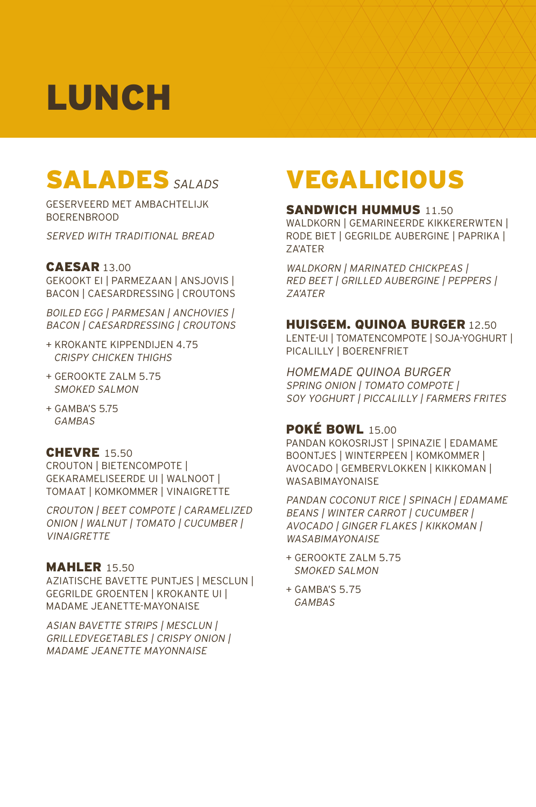### SALADES SALADS

GESERVEERD MET AMBACHTELIJK BOERENBROOD

SERVED WITH TRADITIONAL BREAD

#### CAESAR 13.00

GEKOOKT EI | PARMEZAAN | ANSJOVIS | BACON | CAESARDRESSING | CROUTONS

BOILED EGG | PARMESAN | ANCHOVIES | BACON | CAESARDRESSING | CROUTONS

- + KROKANTE KIPPENDIJEN 4.75 CRISPY CHICKEN THIGHS
- + GEROOKTE ZALM 5.75 SMOKED SALMON
- + GAMBA'S 5.75 GAMBAS

#### **CHEVRE** 15.50

CROUTON | BIETENCOMPOTE | GEKARAMELISEERDE UI | WALNOOT | TOMAAT | KOMKOMMER | VINAIGRETTE

CROUTON | BEET COMPOTE | CARAMELIZED ONION | WALNUT | TOMATO | CUCUMBER | **VINAIGRETTE** 

### **MAHLER 15.50**

AZIATISCHE BAVETTE PUNTJES | MESCLUN | GEGRILDE GROENTEN | KROKANTE UI | MADAME JEANETTE-MAYONAISE

ASIAN BAVETTE STRIPS | MESCLUN | GRILLEDVEGETABLES | CRISPY ONION | MADAME JEANETTE MAYONNAISE

### **VEGALICIOUS**

#### SANDWICH HUMMUS 11.50

WALDKORN | GEMARINEERDE KIKKERERWTEN | RODE BIET | GEGRILDE AUBERGINE | PAPRIKA | ZA'ATER

WALDKORN | MARINATED CHICKPEAS | RED BEET | GRILLED AUBERGINE | PEPPERS | ZA'ATER

#### HUISGEM. QUINOA BURGER 12.50

LENTE-UI | TOMATENCOMPOTE | SOJA-YOGHURT | PICALILLY | BOERENFRIET

HOMEMADE QUINOA BURGER SPRING ONION | TOMATO COMPOTE | SOY YOGHURT | PICCALILLY | FARMERS FRITES

### **POKÉ BOWL 15.00**

PANDAN KOKOSRIJST | SPINAZIE | EDAMAME BOONTJES | WINTERPEEN | KOMKOMMER | AVOCADO | GEMBERVLOKKEN | KIKKOMAN | WASABIMAYONAISE

PANDAN COCONUT RICE | SPINACH | EDAMAME BEANS | WINTER CARROT | CUCUMBER | AVOCADO | GINGER FLAKES | KIKKOMAN | WASABIMAYONAISE

- + GEROOKTE ZALM 5.75 SMOKED SALMON
- + GAMBA'S 5.75 GAMBAS